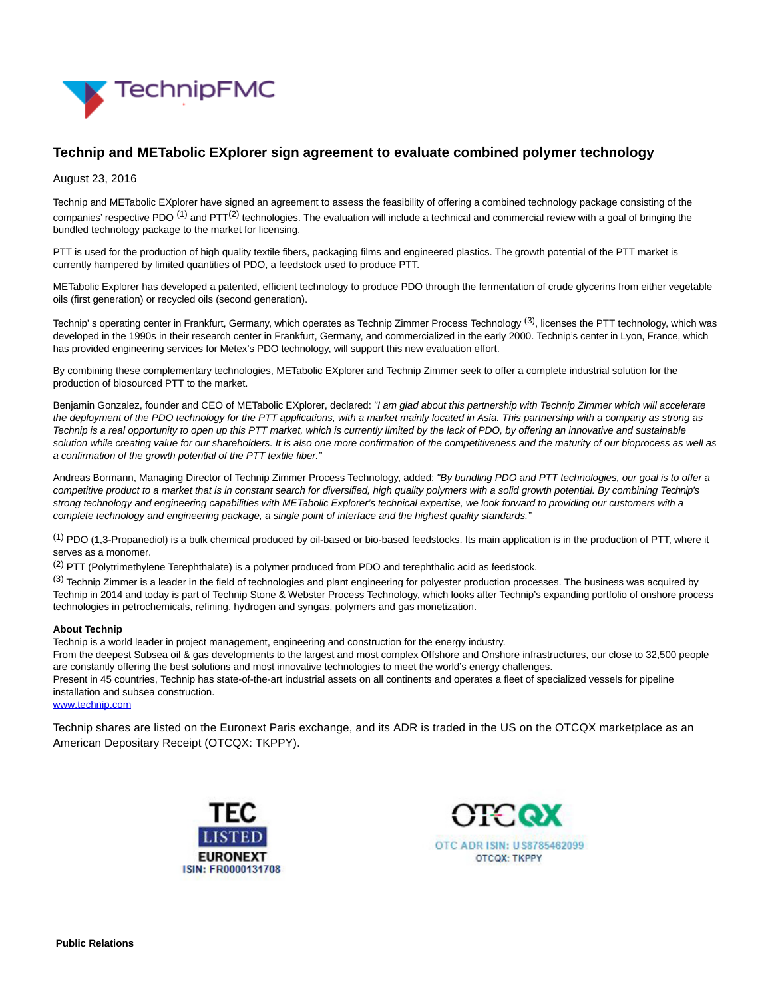

# **Technip and METabolic EXplorer sign agreement to evaluate combined polymer technology**

#### August 23, 2016

Technip and METabolic EXplorer have signed an agreement to assess the feasibility of offering a combined technology package consisting of the companies' respective PDO  $^{(1)}$  and PTT $^{(2)}$  technologies. The evaluation will include a technical and commercial review with a goal of bringing the bundled technology package to the market for licensing.

PTT is used for the production of high quality textile fibers, packaging films and engineered plastics. The growth potential of the PTT market is currently hampered by limited quantities of PDO, a feedstock used to produce PTT.

METabolic Explorer has developed a patented, efficient technology to produce PDO through the fermentation of crude glycerins from either vegetable oils (first generation) or recycled oils (second generation).

Technip' s operating center in Frankfurt, Germany, which operates as Technip Zimmer Process Technology (3), licenses the PTT technology, which was developed in the 1990s in their research center in Frankfurt, Germany, and commercialized in the early 2000. Technip's center in Lyon, France, which has provided engineering services for Metex's PDO technology, will support this new evaluation effort.

By combining these complementary technologies, METabolic EXplorer and Technip Zimmer seek to offer a complete industrial solution for the production of biosourced PTT to the market.

Benjamin Gonzalez, founder and CEO of METabolic EXplorer, declared: "I am glad about this partnership with Technip Zimmer which will accelerate the deployment of the PDO technology for the PTT applications, with a market mainly located in Asia. This partnership with a company as strong as Technip is a real opportunity to open up this PTT market, which is currently limited by the lack of PDO, by offering an innovative and sustainable solution while creating value for our shareholders. It is also one more confirmation of the competitiveness and the maturity of our bioprocess as well as a confirmation of the growth potential of the PTT textile fiber."

Andreas Bormann, Managing Director of Technip Zimmer Process Technology, added: "By bundling PDO and PTT technologies, our goal is to offer a competitive product to a market that is in constant search for diversified, high quality polymers with a solid growth potential. By combining Technip's strong technology and engineering capabilities with METabolic Explorer's technical expertise, we look forward to providing our customers with a complete technology and engineering package, a single point of interface and the highest quality standards."

(1) PDO (1,3-Propanediol) is a bulk chemical produced by oil-based or bio-based feedstocks. Its main application is in the production of PTT, where it serves as a monomer.

(2) PTT (Polytrimethylene Terephthalate) is a polymer produced from PDO and terephthalic acid as feedstock.

(3) Technip Zimmer is a leader in the field of technologies and plant engineering for polyester production processes. The business was acquired by Technip in 2014 and today is part of Technip Stone & Webster Process Technology, which looks after Technip's expanding portfolio of onshore process technologies in petrochemicals, refining, hydrogen and syngas, polymers and gas monetization.

#### **About Technip**

Technip is a world leader in project management, engineering and construction for the energy industry.

From the deepest Subsea oil & gas developments to the largest and most complex Offshore and Onshore infrastructures, our close to 32,500 people are constantly offering the best solutions and most innovative technologies to meet the world's energy challenges.

Present in 45 countries, Technip has state-of-the-art industrial assets on all continents and operates a fleet of specialized vessels for pipeline installation and subsea construction.

### [www.technip.com](http://www.technip.com/)

Technip shares are listed on the Euronext Paris exchange, and its ADR is traded in the US on the OTCQX marketplace as an American Depositary Receipt (OTCQX: TKPPY).